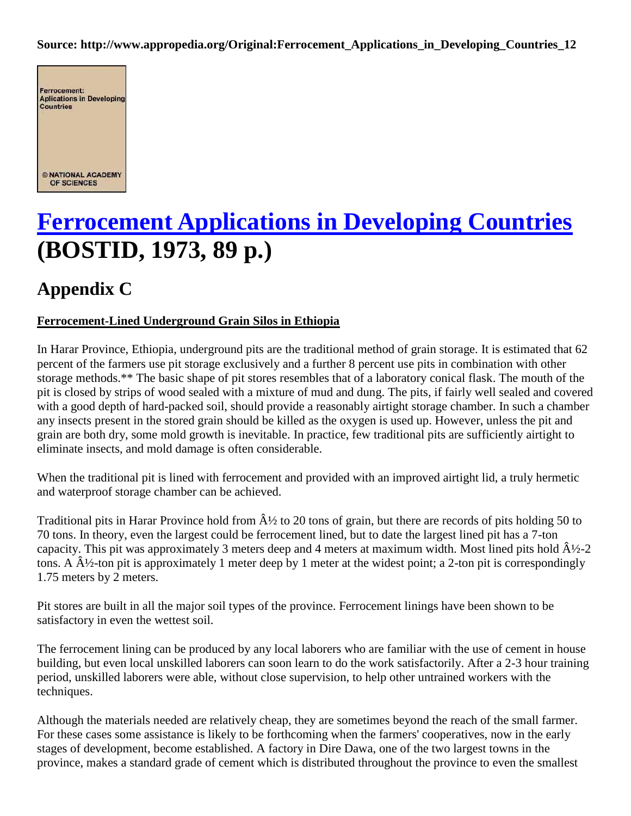#### **Source: http://www.appropedia.org/Original:Ferrocement\_Applications\_in\_Developing\_Countries\_12**



# **[Ferrocement Applications in Developing Countries](http://www.appropedia.org/Ferrocement_Applications_in_Developing_Countries) (BOSTID, 1973, 89 p.)**

## **Appendix C**

### **Ferrocement-Lined Underground Grain Silos in Ethiopia**

In Harar Province, Ethiopia, underground pits are the traditional method of grain storage. It is estimated that 62 percent of the farmers use pit storage exclusively and a further 8 percent use pits in combination with other storage methods.\*\* The basic shape of pit stores resembles that of a laboratory conical flask. The mouth of the pit is closed by strips of wood sealed with a mixture of mud and dung. The pits, if fairly well sealed and covered with a good depth of hard-packed soil, should provide a reasonably airtight storage chamber. In such a chamber any insects present in the stored grain should be killed as the oxygen is used up. However, unless the pit and grain are both dry, some mold growth is inevitable. In practice, few traditional pits are sufficiently airtight to eliminate insects, and mold damage is often considerable.

When the traditional pit is lined with ferrocement and provided with an improved airtight lid, a truly hermetic and waterproof storage chamber can be achieved.

Traditional pits in Harar Province hold from  $\hat{A}$  to 20 tons of grain, but there are records of pits holding 50 to 70 tons. In theory, even the largest could be ferrocement lined, but to date the largest lined pit has a 7-ton capacity. This pit was approximately 3 meters deep and 4 meters at maximum width. Most lined pits hold  $\hat{A}$   $\frac{1}{2}$ -2 tons. A  $\hat{A}$  /2-ton pit is approximately 1 meter deep by 1 meter at the widest point; a 2-ton pit is correspondingly 1.75 meters by 2 meters.

Pit stores are built in all the major soil types of the province. Ferrocement linings have been shown to be satisfactory in even the wettest soil.

The ferrocement lining can be produced by any local laborers who are familiar with the use of cement in house building, but even local unskilled laborers can soon learn to do the work satisfactorily. After a 2-3 hour training period, unskilled laborers were able, without close supervision, to help other untrained workers with the techniques.

Although the materials needed are relatively cheap, they are sometimes beyond the reach of the small farmer. For these cases some assistance is likely to be forthcoming when the farmers' cooperatives, now in the early stages of development, become established. A factory in Dire Dawa, one of the two largest towns in the province, makes a standard grade of cement which is distributed throughout the province to even the smallest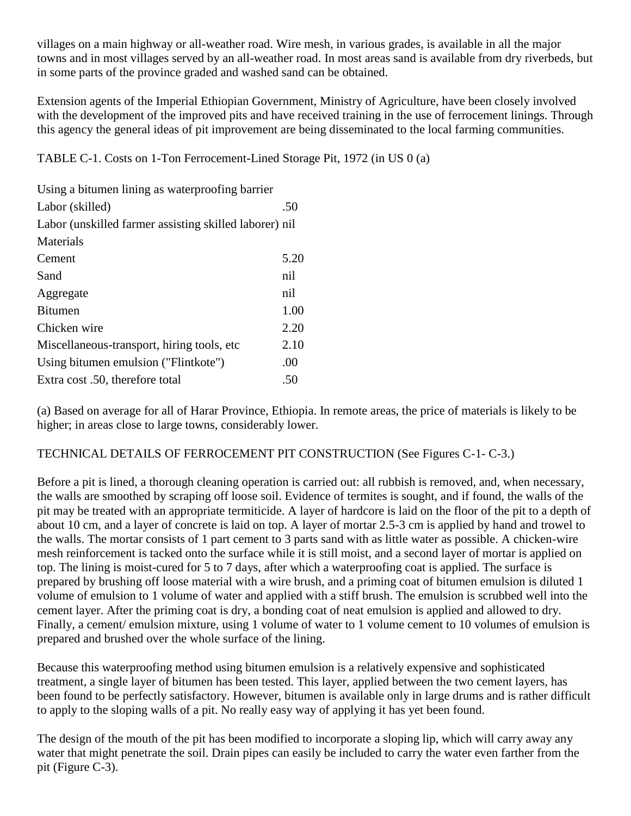villages on a main highway or all-weather road. Wire mesh, in various grades, is available in all the major towns and in most villages served by an all-weather road. In most areas sand is available from dry riverbeds, but in some parts of the province graded and washed sand can be obtained.

Extension agents of the Imperial Ethiopian Government, Ministry of Agriculture, have been closely involved with the development of the improved pits and have received training in the use of ferrocement linings. Through this agency the general ideas of pit improvement are being disseminated to the local farming communities.

TABLE C-1. Costs on 1-Ton Ferrocement-Lined Storage Pit, 1972 (in US 0 (a)

| .50                                                    |
|--------------------------------------------------------|
| Labor (unskilled farmer assisting skilled laborer) nil |
|                                                        |
| 5.20                                                   |
| nil                                                    |
| nil                                                    |
| 1.00                                                   |
| 2.20                                                   |
| 2.10                                                   |
| .00                                                    |
| .50                                                    |
|                                                        |

(a) Based on average for all of Harar Province, Ethiopia. In remote areas, the price of materials is likely to be higher; in areas close to large towns, considerably lower.

### TECHNICAL DETAILS OF FERROCEMENT PIT CONSTRUCTION (See Figures C-1- C-3.)

Before a pit is lined, a thorough cleaning operation is carried out: all rubbish is removed, and, when necessary, the walls are smoothed by scraping off loose soil. Evidence of termites is sought, and if found, the walls of the pit may be treated with an appropriate termiticide. A layer of hardcore is laid on the floor of the pit to a depth of about 10 cm, and a layer of concrete is laid on top. A layer of mortar 2.5-3 cm is applied by hand and trowel to the walls. The mortar consists of 1 part cement to 3 parts sand with as little water as possible. A chicken-wire mesh reinforcement is tacked onto the surface while it is still moist, and a second layer of mortar is applied on top. The lining is moist-cured for 5 to 7 days, after which a waterproofing coat is applied. The surface is prepared by brushing off loose material with a wire brush, and a priming coat of bitumen emulsion is diluted 1 volume of emulsion to 1 volume of water and applied with a stiff brush. The emulsion is scrubbed well into the cement layer. After the priming coat is dry, a bonding coat of neat emulsion is applied and allowed to dry. Finally, a cement/ emulsion mixture, using 1 volume of water to 1 volume cement to 10 volumes of emulsion is prepared and brushed over the whole surface of the lining.

Because this waterproofing method using bitumen emulsion is a relatively expensive and sophisticated treatment, a single layer of bitumen has been tested. This layer, applied between the two cement layers, has been found to be perfectly satisfactory. However, bitumen is available only in large drums and is rather difficult to apply to the sloping walls of a pit. No really easy way of applying it has yet been found.

The design of the mouth of the pit has been modified to incorporate a sloping lip, which will carry away any water that might penetrate the soil. Drain pipes can easily be included to carry the water even farther from the pit (Figure C-3).